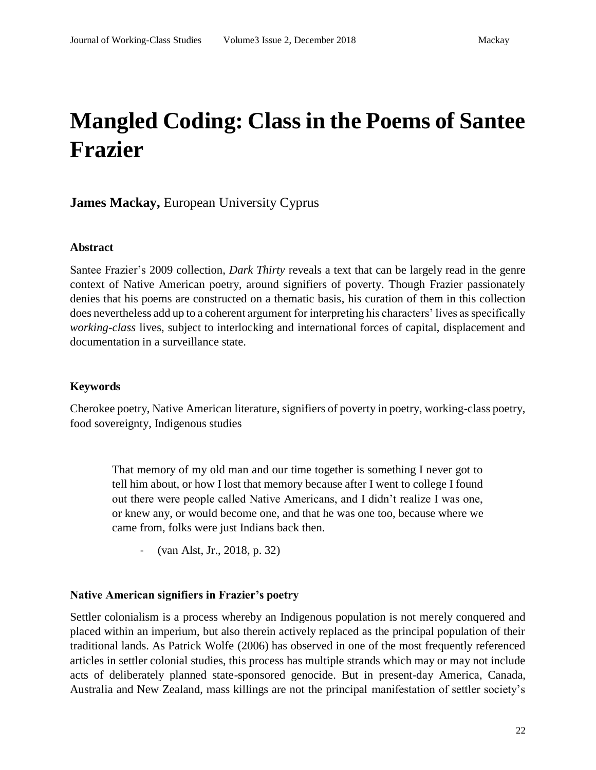# **Mangled Coding: Class in the Poems of Santee Frazier**

# **James Mackay,** European University Cyprus

#### **Abstract**

Santee Frazier's 2009 collection, *Dark Thirty* reveals a text that can be largely read in the genre context of Native American poetry, around signifiers of poverty. Though Frazier passionately denies that his poems are constructed on a thematic basis, his curation of them in this collection does nevertheless add up to a coherent argument for interpreting his characters' lives as specifically *working-class* lives, subject to interlocking and international forces of capital, displacement and documentation in a surveillance state.

#### **Keywords**

Cherokee poetry, Native American literature, signifiers of poverty in poetry, working-class poetry, food sovereignty, Indigenous studies

That memory of my old man and our time together is something I never got to tell him about, or how I lost that memory because after I went to college I found out there were people called Native Americans, and I didn't realize I was one, or knew any, or would become one, and that he was one too, because where we came from, folks were just Indians back then.

- (van Alst, Jr., 2018, p. 32)

#### **Native American signifiers in Frazier's poetry**

Settler colonialism is a process whereby an Indigenous population is not merely conquered and placed within an imperium, but also therein actively replaced as the principal population of their traditional lands. As Patrick Wolfe (2006) has observed in one of the most frequently referenced articles in settler colonial studies, this process has multiple strands which may or may not include acts of deliberately planned state-sponsored genocide. But in present-day America, Canada, Australia and New Zealand, mass killings are not the principal manifestation of settler society's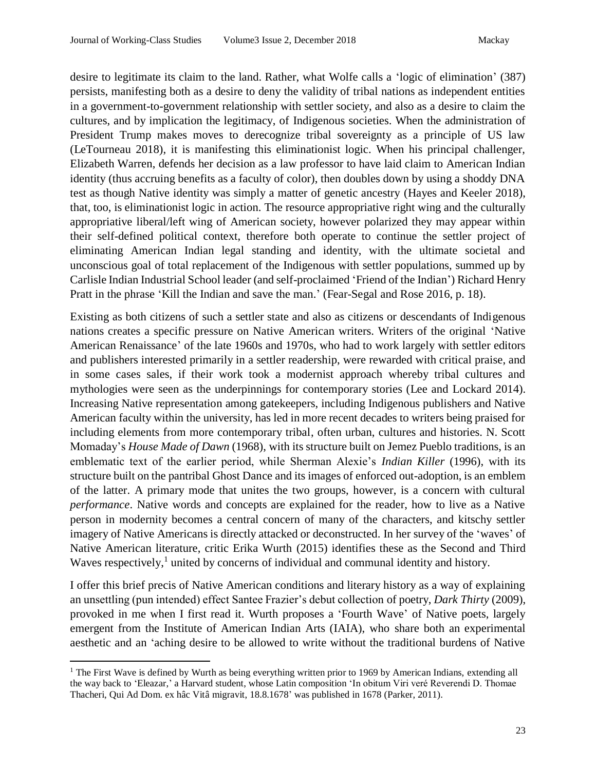desire to legitimate its claim to the land. Rather, what Wolfe calls a 'logic of elimination' (387) persists, manifesting both as a desire to deny the validity of tribal nations as independent entities in a government-to-government relationship with settler society, and also as a desire to claim the cultures, and by implication the legitimacy, of Indigenous societies. When the administration of President Trump makes moves to derecognize tribal sovereignty as a principle of US law (LeTourneau 2018), it is manifesting this eliminationist logic. When his principal challenger, Elizabeth Warren, defends her decision as a law professor to have laid claim to American Indian identity (thus accruing benefits as a faculty of color), then doubles down by using a shoddy DNA test as though Native identity was simply a matter of genetic ancestry (Hayes and Keeler 2018), that, too, is eliminationist logic in action. The resource appropriative right wing and the culturally appropriative liberal/left wing of American society, however polarized they may appear within their self-defined political context, therefore both operate to continue the settler project of eliminating American Indian legal standing and identity, with the ultimate societal and unconscious goal of total replacement of the Indigenous with settler populations, summed up by Carlisle Indian Industrial School leader (and self-proclaimed 'Friend of the Indian') Richard Henry Pratt in the phrase 'Kill the Indian and save the man.' (Fear-Segal and Rose 2016, p. 18).

Existing as both citizens of such a settler state and also as citizens or descendants of Indigenous nations creates a specific pressure on Native American writers. Writers of the original 'Native American Renaissance' of the late 1960s and 1970s, who had to work largely with settler editors and publishers interested primarily in a settler readership, were rewarded with critical praise, and in some cases sales, if their work took a modernist approach whereby tribal cultures and mythologies were seen as the underpinnings for contemporary stories (Lee and Lockard 2014). Increasing Native representation among gatekeepers, including Indigenous publishers and Native American faculty within the university, has led in more recent decades to writers being praised for including elements from more contemporary tribal, often urban, cultures and histories. N. Scott Momaday's *House Made of Dawn* (1968), with its structure built on Jemez Pueblo traditions, is an emblematic text of the earlier period, while Sherman Alexie's *Indian Killer* (1996), with its structure built on the pantribal Ghost Dance and its images of enforced out-adoption, is an emblem of the latter. A primary mode that unites the two groups, however, is a concern with cultural *performance*. Native words and concepts are explained for the reader, how to live as a Native person in modernity becomes a central concern of many of the characters, and kitschy settler imagery of Native Americans is directly attacked or deconstructed. In her survey of the 'waves' of Native American literature, critic Erika Wurth (2015) identifies these as the Second and Third Waves respectively,<sup>1</sup> united by concerns of individual and communal identity and history.

I offer this brief precis of Native American conditions and literary history as a way of explaining an unsettling (pun intended) effect Santee Frazier's debut collection of poetry, *Dark Thirty* (2009), provoked in me when I first read it. Wurth proposes a 'Fourth Wave' of Native poets, largely emergent from the Institute of American Indian Arts (IAIA), who share both an experimental aesthetic and an 'aching desire to be allowed to write without the traditional burdens of Native

 $\overline{a}$ 

<sup>&</sup>lt;sup>1</sup> The First Wave is defined by Wurth as being everything written prior to 1969 by American Indians, extending all the way back to 'Eleazar,' a Harvard student, whose Latin composition 'In obitum Viri veré Reverendi D. Thomae Thacheri, Qui Ad Dom. ex hâc Vitâ migravit, 18.8.1678' was published in 1678 (Parker, 2011).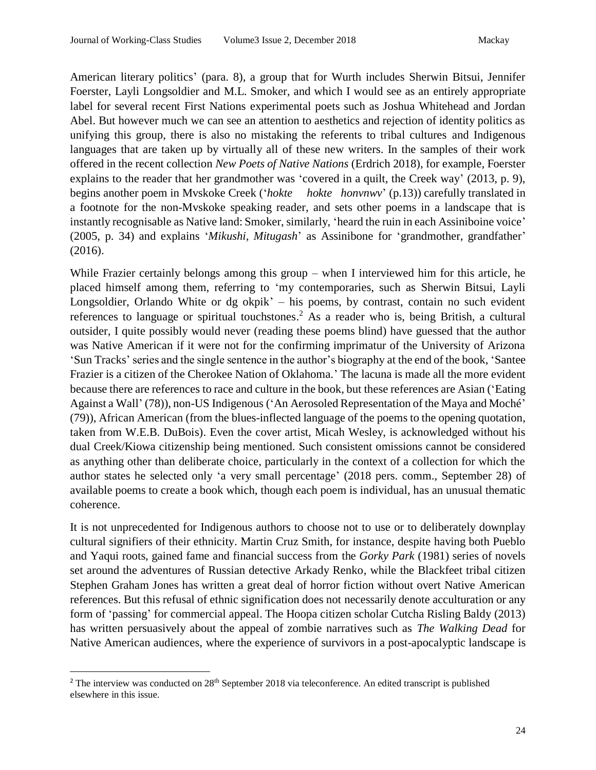American literary politics' (para. 8), a group that for Wurth includes Sherwin Bitsui, Jennifer Foerster, Layli Longsoldier and M.L. Smoker, and which I would see as an entirely appropriate label for several recent First Nations experimental poets such as Joshua Whitehead and Jordan Abel. But however much we can see an attention to aesthetics and rejection of identity politics as unifying this group, there is also no mistaking the referents to tribal cultures and Indigenous languages that are taken up by virtually all of these new writers. In the samples of their work offered in the recent collection *New Poets of Native Nations* (Erdrich 2018), for example, Foerster explains to the reader that her grandmother was 'covered in a quilt, the Creek way' (2013, p. 9), begins another poem in Mvskoke Creek ('*hokte hokte honvnwv*' (p.13)) carefully translated in a footnote for the non-Mvskoke speaking reader, and sets other poems in a landscape that is instantly recognisable as Native land: Smoker, similarly, 'heard the ruin in each Assiniboine voice' (2005, p. 34) and explains '*Mikushi, Mitugash*' as Assinibone for 'grandmother, grandfather' (2016).

While Frazier certainly belongs among this group – when I interviewed him for this article, he placed himself among them, referring to 'my contemporaries, such as Sherwin Bitsui, Layli Longsoldier, Orlando White or dg okpik' – his poems, by contrast, contain no such evident references to language or spiritual touchstones.<sup>2</sup> As a reader who is, being British, a cultural outsider, I quite possibly would never (reading these poems blind) have guessed that the author was Native American if it were not for the confirming imprimatur of the University of Arizona 'Sun Tracks' series and the single sentence in the author's biography at the end of the book, 'Santee Frazier is a citizen of the Cherokee Nation of Oklahoma.' The lacuna is made all the more evident because there are references to race and culture in the book, but these references are Asian ('Eating Against a Wall' (78)), non-US Indigenous ('An Aerosoled Representation of the Maya and Moché' (79)), African American (from the blues-inflected language of the poems to the opening quotation, taken from W.E.B. DuBois). Even the cover artist, Micah Wesley, is acknowledged without his dual Creek/Kiowa citizenship being mentioned. Such consistent omissions cannot be considered as anything other than deliberate choice, particularly in the context of a collection for which the author states he selected only 'a very small percentage' (2018 pers. comm., September 28) of available poems to create a book which, though each poem is individual, has an unusual thematic coherence.

It is not unprecedented for Indigenous authors to choose not to use or to deliberately downplay cultural signifiers of their ethnicity. Martin Cruz Smith, for instance, despite having both Pueblo and Yaqui roots, gained fame and financial success from the *Gorky Park* (1981) series of novels set around the adventures of Russian detective Arkady Renko, while the Blackfeet tribal citizen Stephen Graham Jones has written a great deal of horror fiction without overt Native American references. But this refusal of ethnic signification does not necessarily denote acculturation or any form of 'passing' for commercial appeal. The Hoopa citizen scholar Cutcha Risling Baldy (2013) has written persuasively about the appeal of zombie narratives such as *The Walking Dead* for Native American audiences, where the experience of survivors in a post-apocalyptic landscape is

 $\overline{a}$ 

<sup>&</sup>lt;sup>2</sup> The interview was conducted on  $28<sup>th</sup>$  September 2018 via teleconference. An edited transcript is published elsewhere in this issue.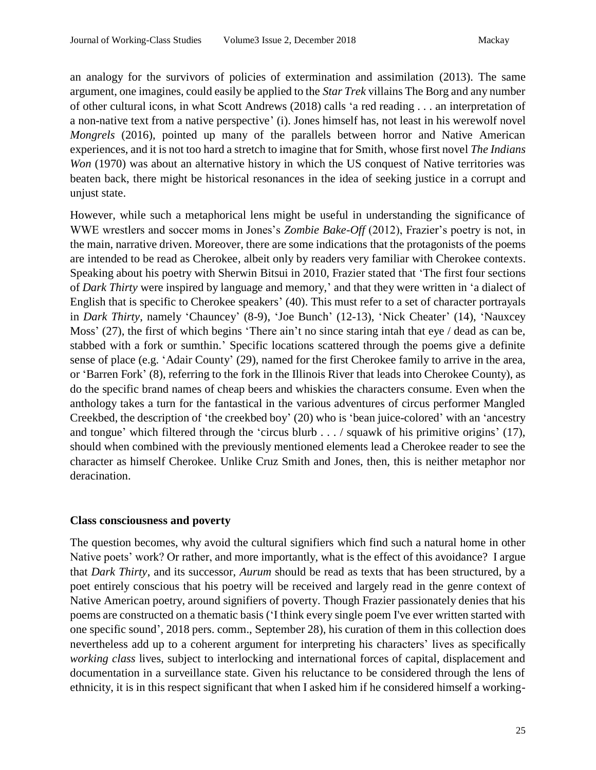an analogy for the survivors of policies of extermination and assimilation (2013). The same argument, one imagines, could easily be applied to the *Star Trek* villains The Borg and any number of other cultural icons, in what Scott Andrews (2018) calls 'a red reading . . . an interpretation of a non-native text from a native perspective' (i). Jones himself has, not least in his werewolf novel *Mongrels* (2016), pointed up many of the parallels between horror and Native American experiences, and it is not too hard a stretch to imagine that for Smith, whose first novel *The Indians Won* (1970) was about an alternative history in which the US conquest of Native territories was beaten back, there might be historical resonances in the idea of seeking justice in a corrupt and unjust state.

However, while such a metaphorical lens might be useful in understanding the significance of WWE wrestlers and soccer moms in Jones's *Zombie Bake-Off* (2012), Frazier's poetry is not, in the main, narrative driven. Moreover, there are some indications that the protagonists of the poems are intended to be read as Cherokee, albeit only by readers very familiar with Cherokee contexts. Speaking about his poetry with Sherwin Bitsui in 2010, Frazier stated that 'The first four sections of *Dark Thirty* were inspired by language and memory,' and that they were written in 'a dialect of English that is specific to Cherokee speakers' (40). This must refer to a set of character portrayals in *Dark Thirty*, namely 'Chauncey' (8-9), 'Joe Bunch' (12-13), 'Nick Cheater' (14), 'Nauxcey Moss' (27), the first of which begins 'There ain't no since staring intah that eye / dead as can be, stabbed with a fork or sumthin.' Specific locations scattered through the poems give a definite sense of place (e.g. 'Adair County' (29), named for the first Cherokee family to arrive in the area, or 'Barren Fork' (8), referring to the fork in the Illinois River that leads into Cherokee County), as do the specific brand names of cheap beers and whiskies the characters consume. Even when the anthology takes a turn for the fantastical in the various adventures of circus performer Mangled Creekbed, the description of 'the creekbed boy' (20) who is 'bean juice-colored' with an 'ancestry and tongue' which filtered through the 'circus blurb . . . / squawk of his primitive origins' (17), should when combined with the previously mentioned elements lead a Cherokee reader to see the character as himself Cherokee. Unlike Cruz Smith and Jones, then, this is neither metaphor nor deracination.

# **Class consciousness and poverty**

The question becomes, why avoid the cultural signifiers which find such a natural home in other Native poets' work? Or rather, and more importantly, what is the effect of this avoidance? I argue that *Dark Thirty*, and its successor, *Aurum* should be read as texts that has been structured, by a poet entirely conscious that his poetry will be received and largely read in the genre context of Native American poetry, around signifiers of poverty. Though Frazier passionately denies that his poems are constructed on a thematic basis ('I think every single poem I've ever written started with one specific sound', 2018 pers. comm., September 28), his curation of them in this collection does nevertheless add up to a coherent argument for interpreting his characters' lives as specifically *working class* lives, subject to interlocking and international forces of capital, displacement and documentation in a surveillance state. Given his reluctance to be considered through the lens of ethnicity, it is in this respect significant that when I asked him if he considered himself a working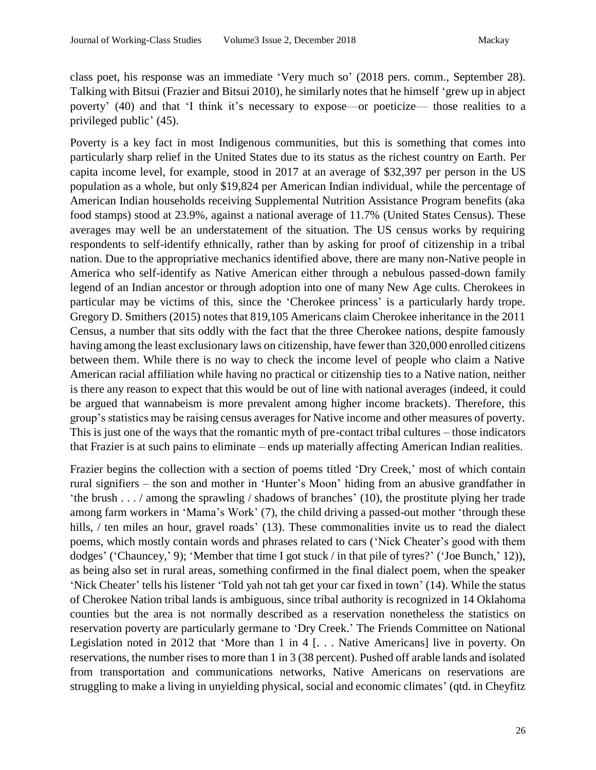class poet, his response was an immediate 'Very much so' (2018 pers. comm., September 28). Talking with Bitsui (Frazier and Bitsui 2010), he similarly notes that he himself 'grew up in abject poverty' (40) and that 'I think it's necessary to expose—or poeticize— those realities to a privileged public' (45).

Poverty is a key fact in most Indigenous communities, but this is something that comes into particularly sharp relief in the United States due to its status as the richest country on Earth. Per capita income level, for example, stood in 2017 at an average of \$32,397 per person in the US population as a whole, but only \$19,824 per American Indian individual, while the percentage of American Indian households receiving Supplemental Nutrition Assistance Program benefits (aka food stamps) stood at 23.9%, against a national average of 11.7% (United States Census). These averages may well be an understatement of the situation. The US census works by requiring respondents to self-identify ethnically, rather than by asking for proof of citizenship in a tribal nation. Due to the appropriative mechanics identified above, there are many non-Native people in America who self-identify as Native American either through a nebulous passed-down family legend of an Indian ancestor or through adoption into one of many New Age cults. Cherokees in particular may be victims of this, since the 'Cherokee princess' is a particularly hardy trope. Gregory D. Smithers (2015) notes that 819,105 Americans claim Cherokee inheritance in the 2011 Census, a number that sits oddly with the fact that the three Cherokee nations, despite famously having among the least exclusionary laws on citizenship, have fewer than 320,000 enrolled citizens between them. While there is no way to check the income level of people who claim a Native American racial affiliation while having no practical or citizenship ties to a Native nation, neither is there any reason to expect that this would be out of line with national averages (indeed, it could be argued that wannabeism is more prevalent among higher income brackets). Therefore, this group's statistics may be raising census averages for Native income and other measures of poverty. This is just one of the ways that the romantic myth of pre-contact tribal cultures – those indicators that Frazier is at such pains to eliminate – ends up materially affecting American Indian realities.

Frazier begins the collection with a section of poems titled 'Dry Creek,' most of which contain rural signifiers – the son and mother in 'Hunter's Moon' hiding from an abusive grandfather in 'the brush . . . / among the sprawling / shadows of branches' (10), the prostitute plying her trade among farm workers in 'Mama's Work' (7), the child driving a passed-out mother 'through these hills, / ten miles an hour, gravel roads' (13). These commonalities invite us to read the dialect poems, which mostly contain words and phrases related to cars ('Nick Cheater's good with them dodges' ('Chauncey,' 9); 'Member that time I got stuck / in that pile of tyres?' ('Joe Bunch,' 12)), as being also set in rural areas, something confirmed in the final dialect poem, when the speaker 'Nick Cheater' tells his listener 'Told yah not tah get your car fixed in town' (14). While the status of Cherokee Nation tribal lands is ambiguous, since tribal authority is recognized in 14 Oklahoma counties but the area is not normally described as a reservation nonetheless the statistics on reservation poverty are particularly germane to 'Dry Creek.' The Friends Committee on National Legislation noted in 2012 that 'More than 1 in 4 [. . . Native Americans] live in poverty. On reservations, the number rises to more than 1 in 3 (38 percent). Pushed off arable lands and isolated from transportation and communications networks, Native Americans on reservations are struggling to make a living in unyielding physical, social and economic climates' (qtd. in Cheyfitz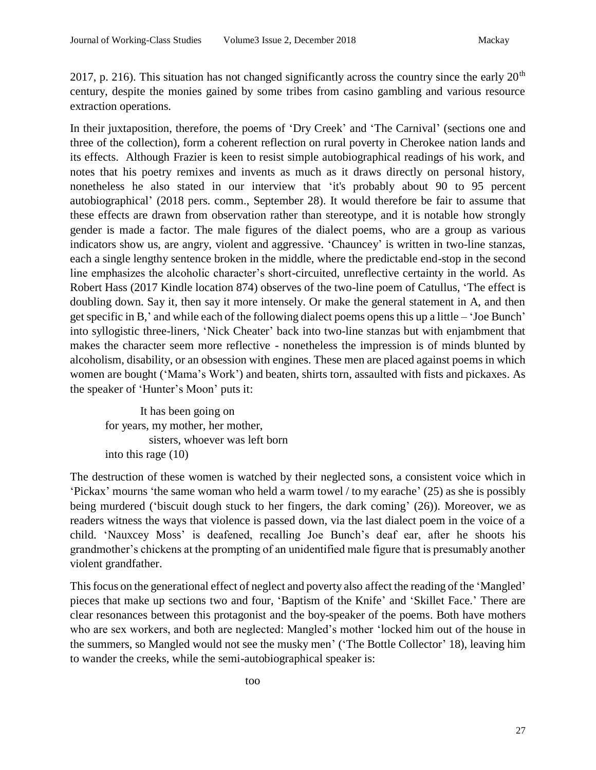2017, p. 216). This situation has not changed significantly across the country since the early  $20<sup>th</sup>$ century, despite the monies gained by some tribes from casino gambling and various resource extraction operations.

In their juxtaposition, therefore, the poems of 'Dry Creek' and 'The Carnival' (sections one and three of the collection), form a coherent reflection on rural poverty in Cherokee nation lands and its effects. Although Frazier is keen to resist simple autobiographical readings of his work, and notes that his poetry remixes and invents as much as it draws directly on personal history, nonetheless he also stated in our interview that 'it's probably about 90 to 95 percent autobiographical' (2018 pers. comm., September 28). It would therefore be fair to assume that these effects are drawn from observation rather than stereotype, and it is notable how strongly gender is made a factor. The male figures of the dialect poems, who are a group as various indicators show us, are angry, violent and aggressive. 'Chauncey' is written in two-line stanzas, each a single lengthy sentence broken in the middle, where the predictable end-stop in the second line emphasizes the alcoholic character's short-circuited, unreflective certainty in the world. As Robert Hass (2017 Kindle location 874) observes of the two-line poem of Catullus, 'The effect is doubling down. Say it, then say it more intensely. Or make the general statement in A, and then get specific in B,' and while each of the following dialect poems opens this up a little – 'Joe Bunch' into syllogistic three-liners, 'Nick Cheater' back into two-line stanzas but with enjambment that makes the character seem more reflective - nonetheless the impression is of minds blunted by alcoholism, disability, or an obsession with engines. These men are placed against poems in which women are bought ('Mama's Work') and beaten, shirts torn, assaulted with fists and pickaxes. As the speaker of 'Hunter's Moon' puts it:

It has been going on for years, my mother, her mother, sisters, whoever was left born into this rage (10)

The destruction of these women is watched by their neglected sons, a consistent voice which in 'Pickax' mourns 'the same woman who held a warm towel / to my earache' (25) as she is possibly being murdered ('biscuit dough stuck to her fingers, the dark coming' (26)). Moreover, we as readers witness the ways that violence is passed down, via the last dialect poem in the voice of a child. 'Nauxcey Moss' is deafened, recalling Joe Bunch's deaf ear, after he shoots his grandmother's chickens at the prompting of an unidentified male figure that is presumably another violent grandfather.

This focus on the generational effect of neglect and poverty also affect the reading of the 'Mangled' pieces that make up sections two and four, 'Baptism of the Knife' and 'Skillet Face.' There are clear resonances between this protagonist and the boy-speaker of the poems. Both have mothers who are sex workers, and both are neglected: Mangled's mother 'locked him out of the house in the summers, so Mangled would not see the musky men' ('The Bottle Collector' 18), leaving him to wander the creeks, while the semi-autobiographical speaker is: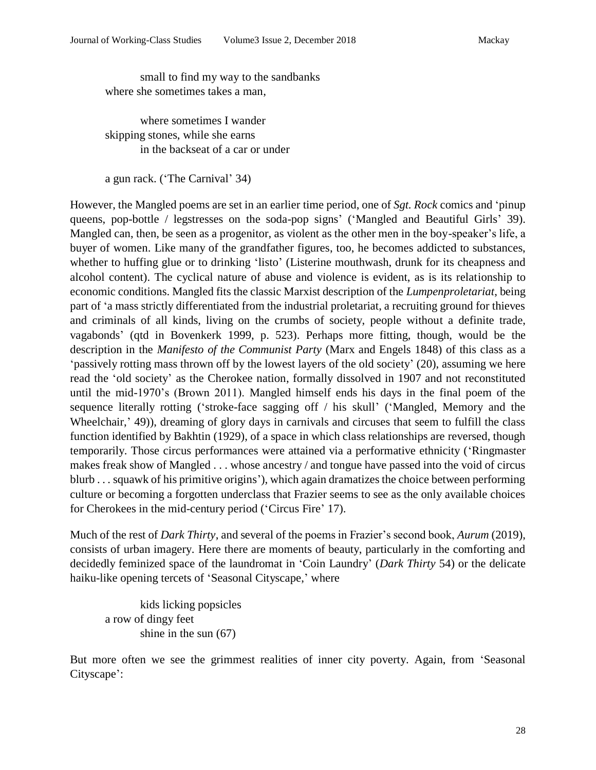small to find my way to the sandbanks where she sometimes takes a man,

where sometimes I wander skipping stones, while she earns in the backseat of a car or under

a gun rack. ('The Carnival' 34)

However, the Mangled poems are set in an earlier time period, one of *Sgt. Rock* comics and 'pinup queens, pop-bottle / legstresses on the soda-pop signs' ('Mangled and Beautiful Girls' 39). Mangled can, then, be seen as a progenitor, as violent as the other men in the boy-speaker's life, a buyer of women. Like many of the grandfather figures, too, he becomes addicted to substances, whether to huffing glue or to drinking 'listo' (Listerine mouthwash, drunk for its cheapness and alcohol content). The cyclical nature of abuse and violence is evident, as is its relationship to economic conditions. Mangled fits the classic Marxist description of the *Lumpenproletariat*, being part of 'a mass strictly differentiated from the industrial proletariat, a recruiting ground for thieves and criminals of all kinds, living on the crumbs of society, people without a definite trade, vagabonds' (qtd in Bovenkerk 1999, p. 523). Perhaps more fitting, though, would be the description in the *Manifesto of the Communist Party* (Marx and Engels 1848) of this class as a 'passively rotting mass thrown off by the lowest layers of the old society' (20), assuming we here read the 'old society' as the Cherokee nation, formally dissolved in 1907 and not reconstituted until the mid-1970's (Brown 2011). Mangled himself ends his days in the final poem of the sequence literally rotting ('stroke-face sagging off / his skull' ('Mangled, Memory and the Wheelchair,' 49)), dreaming of glory days in carnivals and circuses that seem to fulfill the class function identified by Bakhtin (1929), of a space in which class relationships are reversed, though temporarily. Those circus performances were attained via a performative ethnicity ('Ringmaster makes freak show of Mangled . . . whose ancestry / and tongue have passed into the void of circus blurb . . . squawk of his primitive origins'), which again dramatizes the choice between performing culture or becoming a forgotten underclass that Frazier seems to see as the only available choices for Cherokees in the mid-century period ('Circus Fire' 17).

Much of the rest of *Dark Thirty*, and several of the poems in Frazier's second book, *Aurum* (2019), consists of urban imagery. Here there are moments of beauty, particularly in the comforting and decidedly feminized space of the laundromat in 'Coin Laundry' (*Dark Thirty* 54) or the delicate haiku-like opening tercets of 'Seasonal Cityscape,' where

kids licking popsicles a row of dingy feet shine in the sun (67)

But more often we see the grimmest realities of inner city poverty. Again, from 'Seasonal Cityscape':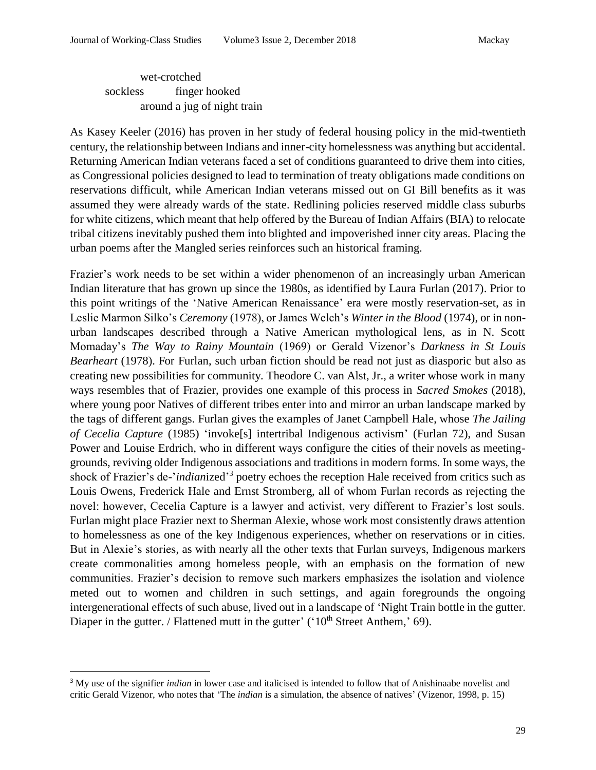wet-crotched sockless finger hooked around a jug of night train

As Kasey Keeler (2016) has proven in her study of federal housing policy in the mid-twentieth century, the relationship between Indians and inner-city homelessness was anything but accidental. Returning American Indian veterans faced a set of conditions guaranteed to drive them into cities, as Congressional policies designed to lead to termination of treaty obligations made conditions on reservations difficult, while American Indian veterans missed out on GI Bill benefits as it was assumed they were already wards of the state. Redlining policies reserved middle class suburbs for white citizens, which meant that help offered by the Bureau of Indian Affairs (BIA) to relocate tribal citizens inevitably pushed them into blighted and impoverished inner city areas. Placing the urban poems after the Mangled series reinforces such an historical framing.

Frazier's work needs to be set within a wider phenomenon of an increasingly urban American Indian literature that has grown up since the 1980s, as identified by Laura Furlan (2017). Prior to this point writings of the 'Native American Renaissance' era were mostly reservation-set, as in Leslie Marmon Silko's *Ceremony* (1978), or James Welch's *Winter in the Blood* (1974), or in nonurban landscapes described through a Native American mythological lens, as in N. Scott Momaday's *The Way to Rainy Mountain* (1969) or Gerald Vizenor's *Darkness in St Louis Bearheart* (1978). For Furlan, such urban fiction should be read not just as diasporic but also as creating new possibilities for community. Theodore C. van Alst, Jr., a writer whose work in many ways resembles that of Frazier, provides one example of this process in *Sacred Smokes* (2018), where young poor Natives of different tribes enter into and mirror an urban landscape marked by the tags of different gangs. Furlan gives the examples of Janet Campbell Hale, whose *The Jailing of Cecelia Capture* (1985) 'invoke[s] intertribal Indigenous activism' (Furlan 72), and Susan Power and Louise Erdrich, who in different ways configure the cities of their novels as meetinggrounds, reviving older Indigenous associations and traditions in modern forms. In some ways, the shock of Frazier's de-'*indian*ized' 3 poetry echoes the reception Hale received from critics such as Louis Owens, Frederick Hale and Ernst Stromberg, all of whom Furlan records as rejecting the novel: however, Cecelia Capture is a lawyer and activist, very different to Frazier's lost souls. Furlan might place Frazier next to Sherman Alexie, whose work most consistently draws attention to homelessness as one of the key Indigenous experiences, whether on reservations or in cities. But in Alexie's stories, as with nearly all the other texts that Furlan surveys, Indigenous markers create commonalities among homeless people, with an emphasis on the formation of new communities. Frazier's decision to remove such markers emphasizes the isolation and violence meted out to women and children in such settings, and again foregrounds the ongoing intergenerational effects of such abuse, lived out in a landscape of 'Night Train bottle in the gutter. Diaper in the gutter. / Flattened mutt in the gutter' ( $10<sup>th</sup>$  Street Anthem,' 69).

 $\overline{a}$ 

<sup>&</sup>lt;sup>3</sup> My use of the signifier *indian* in lower case and italicised is intended to follow that of Anishinaabe novelist and critic Gerald Vizenor, who notes that 'The *indian* is a simulation, the absence of natives' (Vizenor, 1998, p. 15)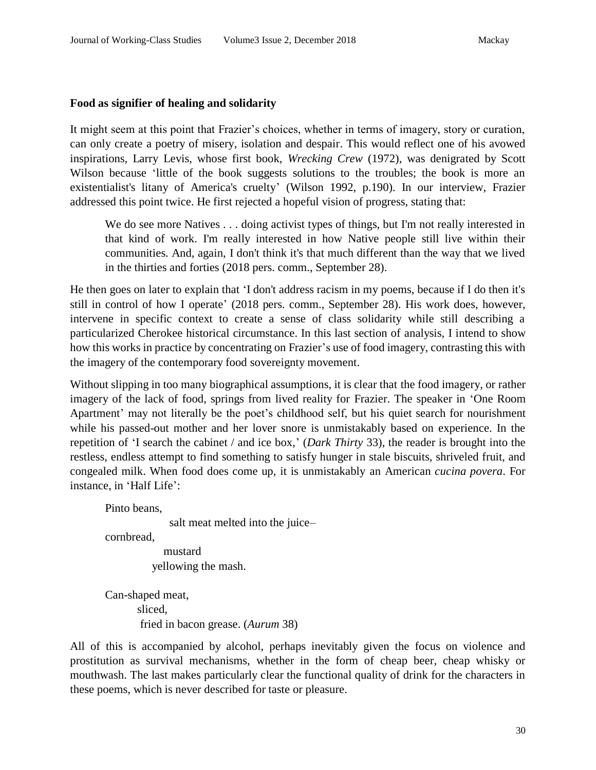#### **Food as signifier of healing and solidarity**

It might seem at this point that Frazier's choices, whether in terms of imagery, story or curation, can only create a poetry of misery, isolation and despair. This would reflect one of his avowed inspirations, Larry Levis, whose first book, *Wrecking Crew* (1972), was denigrated by Scott Wilson because 'little of the book suggests solutions to the troubles; the book is more an existentialist's litany of America's cruelty' (Wilson 1992, p.190). In our interview, Frazier addressed this point twice. He first rejected a hopeful vision of progress, stating that:

We do see more Natives . . . doing activist types of things, but I'm not really interested in that kind of work. I'm really interested in how Native people still live within their communities. And, again, I don't think it's that much different than the way that we lived in the thirties and forties (2018 pers. comm., September 28).

He then goes on later to explain that 'I don't address racism in my poems, because if I do then it's still in control of how I operate' (2018 pers. comm., September 28). His work does, however, intervene in specific context to create a sense of class solidarity while still describing a particularized Cherokee historical circumstance. In this last section of analysis, I intend to show how this works in practice by concentrating on Frazier's use of food imagery, contrasting this with the imagery of the contemporary food sovereignty movement.

Without slipping in too many biographical assumptions, it is clear that the food imagery, or rather imagery of the lack of food, springs from lived reality for Frazier. The speaker in 'One Room Apartment' may not literally be the poet's childhood self, but his quiet search for nourishment while his passed-out mother and her lover snore is unmistakably based on experience. In the repetition of 'I search the cabinet / and ice box,' (*Dark Thirty* 33), the reader is brought into the restless, endless attempt to find something to satisfy hunger in stale biscuits, shriveled fruit, and congealed milk. When food does come up, it is unmistakably an American *cucina povera*. For instance, in 'Half Life':

Pinto beans,

salt meat melted into the juice–

cornbread,

 mustard yellowing the mash.

Can-shaped meat, sliced, fried in bacon grease. (*Aurum* 38)

All of this is accompanied by alcohol, perhaps inevitably given the focus on violence and prostitution as survival mechanisms, whether in the form of cheap beer, cheap whisky or mouthwash. The last makes particularly clear the functional quality of drink for the characters in these poems, which is never described for taste or pleasure.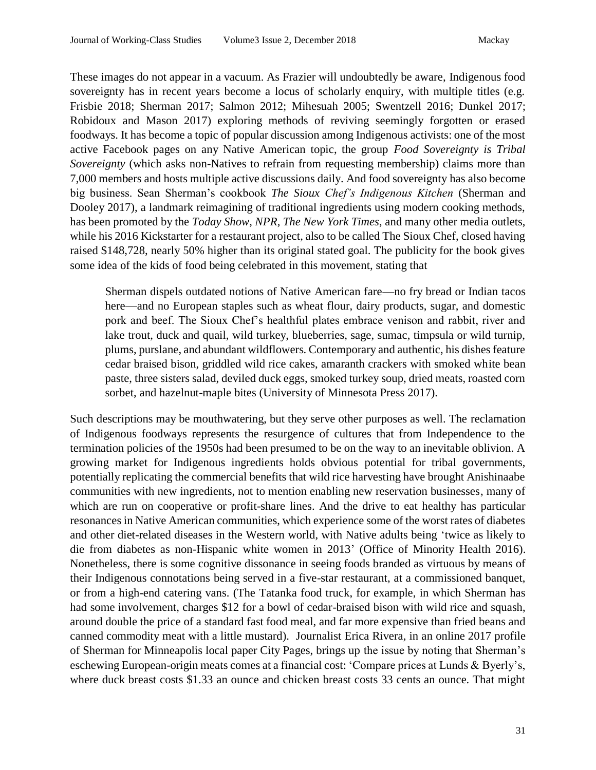These images do not appear in a vacuum. As Frazier will undoubtedly be aware, Indigenous food sovereignty has in recent years become a locus of scholarly enquiry, with multiple titles (e.g. Frisbie 2018; Sherman 2017; Salmon 2012; Mihesuah 2005; Swentzell 2016; Dunkel 2017; Robidoux and Mason 2017) exploring methods of reviving seemingly forgotten or erased foodways. It has become a topic of popular discussion among Indigenous activists: one of the most active Facebook pages on any Native American topic, the group *Food Sovereignty is Tribal Sovereignty* (which asks non-Natives to refrain from requesting membership) claims more than 7,000 members and hosts multiple active discussions daily. And food sovereignty has also become big business. Sean Sherman's cookbook *The Sioux Chef's Indigenous Kitchen* (Sherman and Dooley 2017), a landmark reimagining of traditional ingredients using modern cooking methods, has been promoted by the *Today Show*, *NPR*, *The New York Times*, and many other media outlets, while his 2016 Kickstarter for a restaurant project, also to be called The Sioux Chef, closed having raised \$148,728, nearly 50% higher than its original stated goal. The publicity for the book gives some idea of the kids of food being celebrated in this movement, stating that

Sherman dispels outdated notions of Native American fare—no fry bread or Indian tacos here—and no European staples such as wheat flour, dairy products, sugar, and domestic pork and beef. The Sioux Chef's healthful plates embrace venison and rabbit, river and lake trout, duck and quail, wild turkey, blueberries, sage, sumac, timpsula or wild turnip, plums, purslane, and abundant wildflowers. Contemporary and authentic, his dishes feature cedar braised bison, griddled wild rice cakes, amaranth crackers with smoked white bean paste, three sisters salad, deviled duck eggs, smoked turkey soup, dried meats, roasted corn sorbet, and hazelnut-maple bites (University of Minnesota Press 2017).

Such descriptions may be mouthwatering, but they serve other purposes as well. The reclamation of Indigenous foodways represents the resurgence of cultures that from Independence to the termination policies of the 1950s had been presumed to be on the way to an inevitable oblivion. A growing market for Indigenous ingredients holds obvious potential for tribal governments, potentially replicating the commercial benefits that wild rice harvesting have brought Anishinaabe communities with new ingredients, not to mention enabling new reservation businesses, many of which are run on cooperative or profit-share lines. And the drive to eat healthy has particular resonances in Native American communities, which experience some of the worst rates of diabetes and other diet-related diseases in the Western world, with Native adults being 'twice as likely to die from diabetes as non-Hispanic white women in 2013' (Office of Minority Health 2016). Nonetheless, there is some cognitive dissonance in seeing foods branded as virtuous by means of their Indigenous connotations being served in a five-star restaurant, at a commissioned banquet, or from a high-end catering vans. (The Tatanka food truck, for example, in which Sherman has had some involvement, charges \$12 for a bowl of cedar-braised bison with wild rice and squash, around double the price of a standard fast food meal, and far more expensive than fried beans and canned commodity meat with a little mustard). Journalist Erica Rivera, in an online 2017 profile of Sherman for Minneapolis local paper City Pages, brings up the issue by noting that Sherman's eschewing European-origin meats comes at a financial cost: 'Compare prices at Lunds & Byerly's, where duck breast costs \$1.33 an ounce and chicken breast costs 33 cents an ounce. That might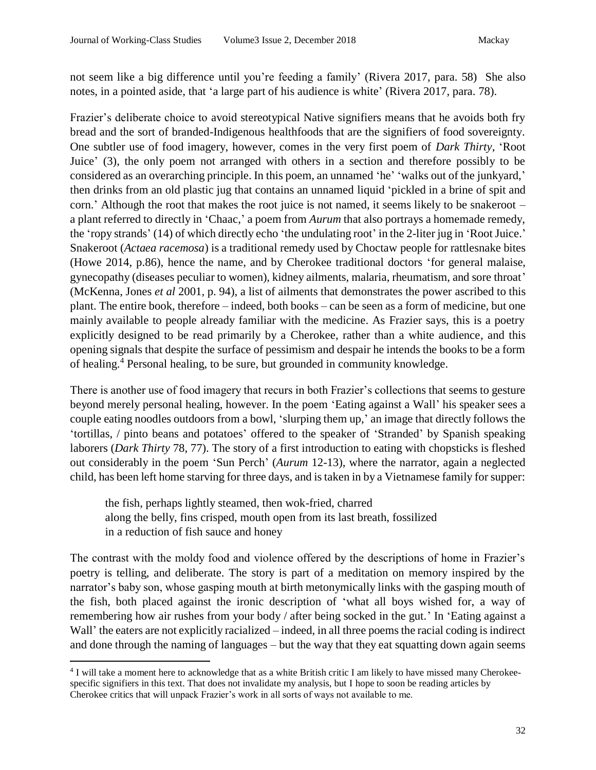not seem like a big difference until you're feeding a family' (Rivera 2017, para. 58) She also notes, in a pointed aside, that 'a large part of his audience is white' (Rivera 2017, para. 78).

Frazier's deliberate choice to avoid stereotypical Native signifiers means that he avoids both fry bread and the sort of branded-Indigenous healthfoods that are the signifiers of food sovereignty. One subtler use of food imagery, however, comes in the very first poem of *Dark Thirty*, 'Root Juice' (3), the only poem not arranged with others in a section and therefore possibly to be considered as an overarching principle. In this poem, an unnamed 'he' 'walks out of the junkyard,' then drinks from an old plastic jug that contains an unnamed liquid 'pickled in a brine of spit and corn.' Although the root that makes the root juice is not named, it seems likely to be snakeroot – a plant referred to directly in 'Chaac,' a poem from *Aurum* that also portrays a homemade remedy, the 'ropy strands' (14) of which directly echo 'the undulating root' in the 2-liter jug in 'Root Juice.' Snakeroot (*Actaea racemosa*) is a traditional remedy used by Choctaw people for rattlesnake bites (Howe 2014, p.86), hence the name, and by Cherokee traditional doctors 'for general malaise, gynecopathy (diseases peculiar to women), kidney ailments, malaria, rheumatism, and sore throat' (McKenna, Jones *et al* 2001, p. 94), a list of ailments that demonstrates the power ascribed to this plant. The entire book, therefore – indeed, both books – can be seen as a form of medicine, but one mainly available to people already familiar with the medicine. As Frazier says, this is a poetry explicitly designed to be read primarily by a Cherokee, rather than a white audience, and this opening signals that despite the surface of pessimism and despair he intends the books to be a form of healing.<sup>4</sup> Personal healing, to be sure, but grounded in community knowledge.

There is another use of food imagery that recurs in both Frazier's collections that seems to gesture beyond merely personal healing, however. In the poem 'Eating against a Wall' his speaker sees a couple eating noodles outdoors from a bowl, 'slurping them up,' an image that directly follows the 'tortillas, / pinto beans and potatoes' offered to the speaker of 'Stranded' by Spanish speaking laborers (*Dark Thirty* 78, 77). The story of a first introduction to eating with chopsticks is fleshed out considerably in the poem 'Sun Perch' (*Aurum* 12-13), where the narrator, again a neglected child, has been left home starving for three days, and is taken in by a Vietnamese family for supper:

the fish, perhaps lightly steamed, then wok-fried, charred along the belly, fins crisped, mouth open from its last breath, fossilized in a reduction of fish sauce and honey

 $\overline{a}$ 

The contrast with the moldy food and violence offered by the descriptions of home in Frazier's poetry is telling, and deliberate. The story is part of a meditation on memory inspired by the narrator's baby son, whose gasping mouth at birth metonymically links with the gasping mouth of the fish, both placed against the ironic description of 'what all boys wished for, a way of remembering how air rushes from your body / after being socked in the gut.' In 'Eating against a Wall' the eaters are not explicitly racialized – indeed, in all three poems the racial coding is indirect and done through the naming of languages – but the way that they eat squatting down again seems

<sup>&</sup>lt;sup>4</sup> I will take a moment here to acknowledge that as a white British critic I am likely to have missed many Cherokeespecific signifiers in this text. That does not invalidate my analysis, but I hope to soon be reading articles by Cherokee critics that will unpack Frazier's work in all sorts of ways not available to me.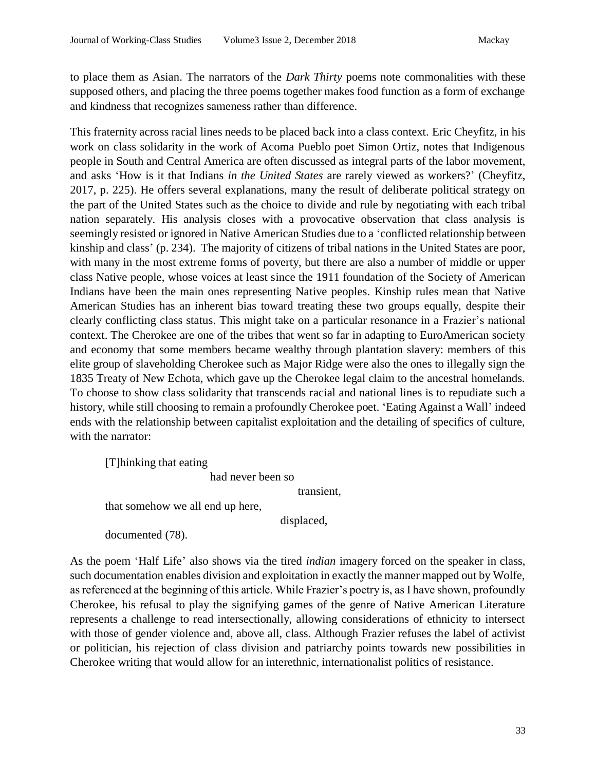to place them as Asian. The narrators of the *Dark Thirty* poems note commonalities with these supposed others, and placing the three poems together makes food function as a form of exchange and kindness that recognizes sameness rather than difference.

This fraternity across racial lines needs to be placed back into a class context. Eric Cheyfitz, in his work on class solidarity in the work of Acoma Pueblo poet Simon Ortiz, notes that Indigenous people in South and Central America are often discussed as integral parts of the labor movement, and asks 'How is it that Indians *in the United States* are rarely viewed as workers?' (Cheyfitz, 2017, p. 225). He offers several explanations, many the result of deliberate political strategy on the part of the United States such as the choice to divide and rule by negotiating with each tribal nation separately. His analysis closes with a provocative observation that class analysis is seemingly resisted or ignored in Native American Studies due to a 'conflicted relationship between kinship and class' (p. 234). The majority of citizens of tribal nations in the United States are poor, with many in the most extreme forms of poverty, but there are also a number of middle or upper class Native people, whose voices at least since the 1911 foundation of the Society of American Indians have been the main ones representing Native peoples. Kinship rules mean that Native American Studies has an inherent bias toward treating these two groups equally, despite their clearly conflicting class status. This might take on a particular resonance in a Frazier's national context. The Cherokee are one of the tribes that went so far in adapting to EuroAmerican society and economy that some members became wealthy through plantation slavery: members of this elite group of slaveholding Cherokee such as Major Ridge were also the ones to illegally sign the 1835 Treaty of New Echota, which gave up the Cherokee legal claim to the ancestral homelands. To choose to show class solidarity that transcends racial and national lines is to repudiate such a history, while still choosing to remain a profoundly Cherokee poet. 'Eating Against a Wall' indeed ends with the relationship between capitalist exploitation and the detailing of specifics of culture, with the narrator:

[T]hinking that eating

had never been so

transient,

that somehow we all end up here,

displaced,

documented (78).

As the poem 'Half Life' also shows via the tired *indian* imagery forced on the speaker in class, such documentation enables division and exploitation in exactly the manner mapped out by Wolfe, as referenced at the beginning of this article. While Frazier's poetry is, as I have shown, profoundly Cherokee, his refusal to play the signifying games of the genre of Native American Literature represents a challenge to read intersectionally, allowing considerations of ethnicity to intersect with those of gender violence and, above all, class. Although Frazier refuses the label of activist or politician, his rejection of class division and patriarchy points towards new possibilities in Cherokee writing that would allow for an interethnic, internationalist politics of resistance.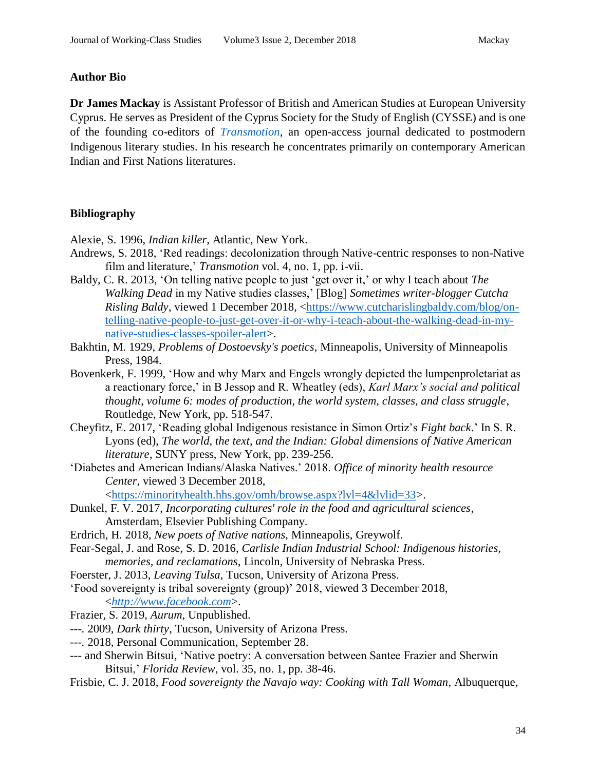### **Author Bio**

**Dr James Mackay** is Assistant Professor of British and American Studies at European University Cyprus. He serves as President of the Cyprus Society for the Study of English (CYSSE) and is one of the founding co-editors of *[Transmotion](https://journals.kent.ac.uk/index.php/transmotion)*, an open-access journal dedicated to postmodern Indigenous literary studies. In his research he concentrates primarily on contemporary American Indian and First Nations literatures.

# **Bibliography**

Alexie, S. 1996, *Indian killer*, Atlantic, New York.

- Andrews, S. 2018, 'Red readings: decolonization through Native-centric responses to non-Native film and literature,' *Transmotion* vol. 4, no. 1, pp. i-vii.
- Baldy, C. R. 2013, 'On telling native people to just 'get over it,' or why I teach about *The Walking Dead* in my Native studies classes,' [Blog] *Sometimes writer-blogger Cutcha Risling Baldy*, viewed 1 December 2018, [<https://www.cutcharislingbaldy.com/blog/on](https://www.cutcharislingbaldy.com/blog/on-telling-native-people-to-just-get-over-it-or-why-i-teach-about-the-walking-dead-in-my-native-studies-classes-spoiler-alert)[telling-native-people-to-just-get-over-it-or-why-i-teach-about-the-walking-dead-in-my](https://www.cutcharislingbaldy.com/blog/on-telling-native-people-to-just-get-over-it-or-why-i-teach-about-the-walking-dead-in-my-native-studies-classes-spoiler-alert)[native-studies-classes-spoiler-alert>](https://www.cutcharislingbaldy.com/blog/on-telling-native-people-to-just-get-over-it-or-why-i-teach-about-the-walking-dead-in-my-native-studies-classes-spoiler-alert).
- Bakhtin, M. 1929, *Problems of Dostoevsky's poetics*, Minneapolis, University of Minneapolis Press, 1984.
- Bovenkerk, F. 1999, 'How and why Marx and Engels wrongly depicted the lumpenproletariat as a reactionary force,' in B Jessop and R. Wheatley (eds), *Karl Marx's social and political thought*, *volume 6: modes of production, the world system, classes, and class struggle*, Routledge, New York, pp. 518-547.
- Cheyfitz, E. 2017, 'Reading global Indigenous resistance in Simon Ortiz's *Fight back*.' In S. R. Lyons (ed), *The world, the text, and the Indian: Global dimensions of Native American literature*, SUNY press, New York, pp. 239-256.
- 'Diabetes and American Indians/Alaska Natives.' 2018. *Office of minority health resource Center*, viewed 3 December 2018,

[<https://minorityhealth.hhs.gov/omh/browse.aspx?lvl=4&lvlid=33>](https://minorityhealth.hhs.gov/omh/browse.aspx?lvl=4&lvlid=33).

- Dunkel, F. V. 2017, *Incorporating cultures' role in the food and agricultural sciences*, Amsterdam, Elsevier Publishing Company.
- Erdrich, H. 2018, *New poets of Native nations*, Minneapolis, Greywolf.
- Fear-Segal, J. and Rose, S. D. 2016, *Carlisle Indian Industrial School: Indigenous histories, memories, and reclamations*, Lincoln, University of Nebraska Press.
- Foerster, J. 2013, *Leaving Tulsa*, Tucson, University of Arizona Press.

'Food sovereignty is tribal sovereignty (group)' 2018, viewed 3 December 2018, <*[http://www.facebook.com](http://www.facebook.com/)*>.

- Frazier, S. 2019, *Aurum*, Unpublished.
- *---.* 2009, *Dark thirty*, Tucson, University of Arizona Press.
- *---.* 2018, Personal Communication, September 28.
- *---* and Sherwin Bitsui*,* 'Native poetry: A conversation between Santee Frazier and Sherwin Bitsui,' *Florida Review*, vol. 35, no. 1, pp. 38-46.
- Frisbie, C. J. 2018, *Food sovereignty the Navajo way: Cooking with Tall Woman*, Albuquerque,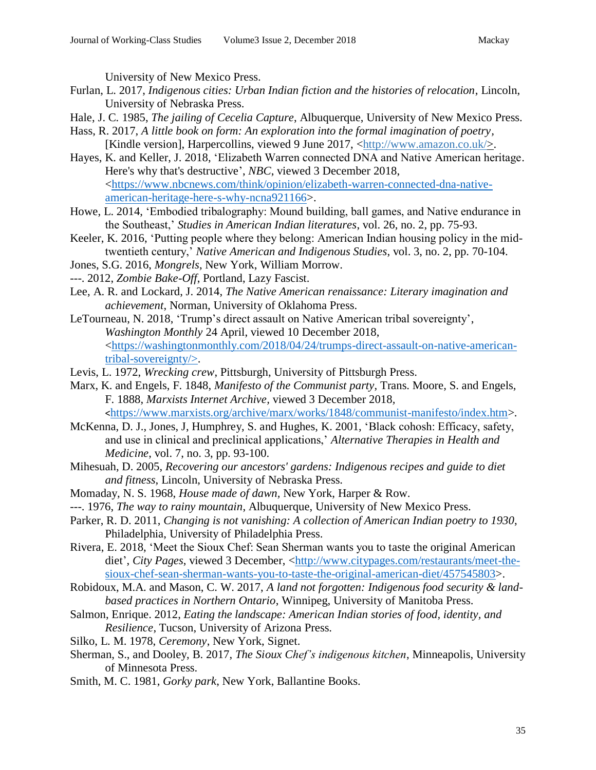University of New Mexico Press.

- Furlan, L. 2017, *Indigenous cities: Urban Indian fiction and the histories of relocation*, Lincoln, University of Nebraska Press.
- Hale, J. C*.* 1985, *The jailing of Cecelia Capture*, Albuquerque, University of New Mexico Press.
- Hass, R. 2017, *A little book on form: An exploration into the formal imagination of poetry,* [Kindle version], Harpercollins, viewed 9 June 2017, [<http://www.amazon.co.uk/>](http://www.amazon.co.uk/).
- Hayes, K. and Keller, J. 2018, 'Elizabeth Warren connected DNA and Native American heritage. Here's why that's destructive', *NBC*, viewed 3 December 2018, [<https://www.nbcnews.com/think/opinion/elizabeth-warren-connected-dna-native](https://www.nbcnews.com/think/opinion/elizabeth-warren-connected-dna-native-american-heritage-here-s-why-ncna921166)[american-heritage-here-s-why-ncna921166>](https://www.nbcnews.com/think/opinion/elizabeth-warren-connected-dna-native-american-heritage-here-s-why-ncna921166).
- Howe, L. 2014, 'Embodied tribalography: Mound building, ball games, and Native endurance in the Southeast,' *Studies in American Indian literatures*, vol. 26, no. 2, pp. 75-93.
- Keeler, K. 2016, 'Putting people where they belong: American Indian housing policy in the midtwentieth century,' *Native American and Indigenous Studies*, vol. 3, no. 2, pp. 70-104.
- Jones, S.G. 2016, *Mongrels*, New York, William Morrow.
- ---. 2012, *Zombie Bake-Off*, Portland, Lazy Fascist.
- Lee, A. R. and Lockard, J. 2014, *The Native American renaissance: Literary imagination and achievement*, Norman, University of Oklahoma Press.
- LeTourneau, N. 2018, 'Trump's direct assault on Native American tribal sovereignty', *Washington Monthly* 24 April, viewed 10 December 2018, [<https://washingtonmonthly.com/2018/04/24/trumps-direct-assault-on-native-american](https://washingtonmonthly.com/2018/04/24/trumps-direct-assault-on-native-american-tribal-sovereignty/)[tribal-sovereignty/>](https://washingtonmonthly.com/2018/04/24/trumps-direct-assault-on-native-american-tribal-sovereignty/).
- Levis, L. 1972, *Wrecking crew*, Pittsburgh, University of Pittsburgh Press.
- Marx, K. and Engels, F. 1848, *Manifesto of the Communist party*, Trans. Moore, S. and Engels, F. 1888, *Marxists Internet Archive,* viewed 3 December 2018*,* <[https://www.marxists.org/archive/marx/works/1848/communist-manifesto/index.htm>](https://www.marxists.org/archive/marx/works/1848/communist-manifesto/index.htm)*.*
- McKenna, D. J., Jones, J, Humphrey, S. and Hughes, K. 2001, 'Black cohosh: Efficacy, safety, and use in clinical and preclinical applications,' *Alternative Therapies in Health and Medicine*, vol. 7, no. 3, pp. 93-100.
- Mihesuah, D. 2005, *Recovering our ancestors' gardens: Indigenous recipes and guide to diet and fitness*, Lincoln, University of Nebraska Press.
- Momaday, N. S. 1968, *House made of dawn,* New York, Harper & Row.
- ---. 1976, *The way to rainy mountain*, Albuquerque, University of New Mexico Press.
- Parker, R. D. 2011, *Changing is not vanishing: A collection of American Indian poetry to 1930*, Philadelphia, University of Philadelphia Press.
- Rivera, E. 2018, 'Meet the Sioux Chef: Sean Sherman wants you to taste the original American diet', *City Pages*, viewed 3 December, [<http://www.citypages.com/restaurants/meet-the](http://www.citypages.com/restaurants/meet-the-sioux-chef-sean-sherman-wants-you-to-taste-the-original-american-diet/457545803)[sioux-chef-sean-sherman-wants-you-to-taste-the-original-american-diet/457545803>](http://www.citypages.com/restaurants/meet-the-sioux-chef-sean-sherman-wants-you-to-taste-the-original-american-diet/457545803).
- Robidoux, M.A. and Mason, C. W. 2017, *A land not forgotten: Indigenous food security & landbased practices in Northern Ontario*, Winnipeg, University of Manitoba Press.
- Salmon, Enrique. 2012, *Eating the landscape: American Indian stories of food, identity, and Resilience*, Tucson, University of Arizona Press.
- Silko, L. M. 1978, *Ceremony*, New York, Signet.
- Sherman, S., and Dooley, B. 2017, *The Sioux Chef's indigenous kitchen*, Minneapolis, University of Minnesota Press.
- Smith, M. C. 1981, *Gorky park*, New York, Ballantine Books.